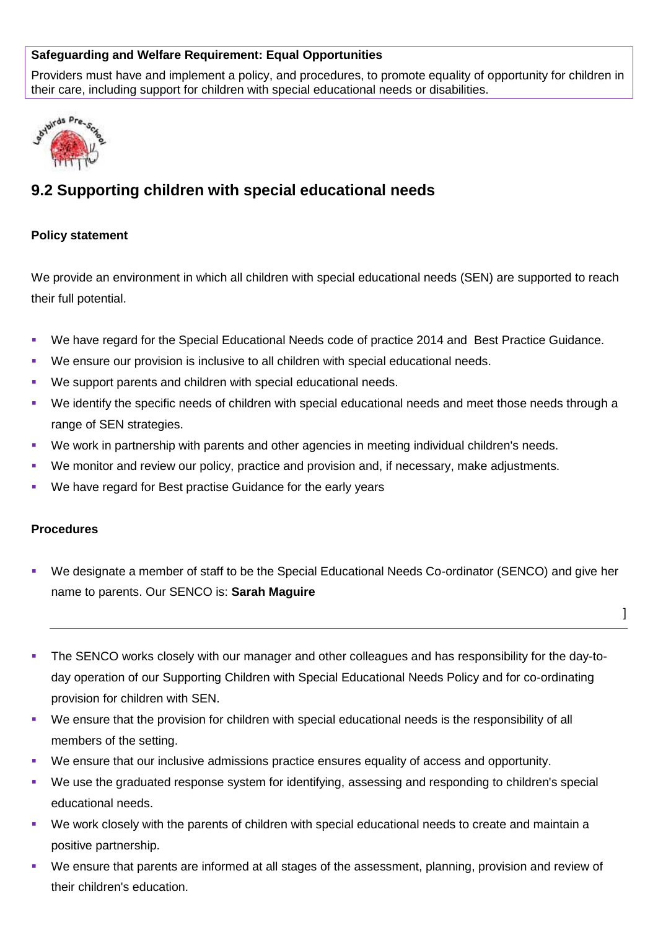### **Safeguarding and Welfare Requirement: Equal Opportunities**

Providers must have and implement a policy, and procedures, to promote equality of opportunity for children in their care, including support for children with special educational needs or disabilities.



# **9.2 Supporting children with special educational needs**

#### **Policy statement**

We provide an environment in which all children with special educational needs (SEN) are supported to reach their full potential.

- We have regard for the Special Educational Needs code of practice 2014 and Best Practice Guidance.
- We ensure our provision is inclusive to all children with special educational needs.
- We support parents and children with special educational needs.
- We identify the specific needs of children with special educational needs and meet those needs through a range of SEN strategies.
- We work in partnership with parents and other agencies in meeting individual children's needs.
- We monitor and review our policy, practice and provision and, if necessary, make adjustments.
- We have regard for Best practise Guidance for the early years

#### **Procedures**

 We designate a member of staff to be the Special Educational Needs Co-ordinator (SENCO) and give her name to parents. Our SENCO is: **Sarah Maguire**

]

- The SENCO works closely with our manager and other colleagues and has responsibility for the day-today operation of our Supporting Children with Special Educational Needs Policy and for co-ordinating provision for children with SEN.
- We ensure that the provision for children with special educational needs is the responsibility of all members of the setting.
- We ensure that our inclusive admissions practice ensures equality of access and opportunity.
- We use the graduated response system for identifying, assessing and responding to children's special educational needs.
- We work closely with the parents of children with special educational needs to create and maintain a positive partnership.
- We ensure that parents are informed at all stages of the assessment, planning, provision and review of their children's education.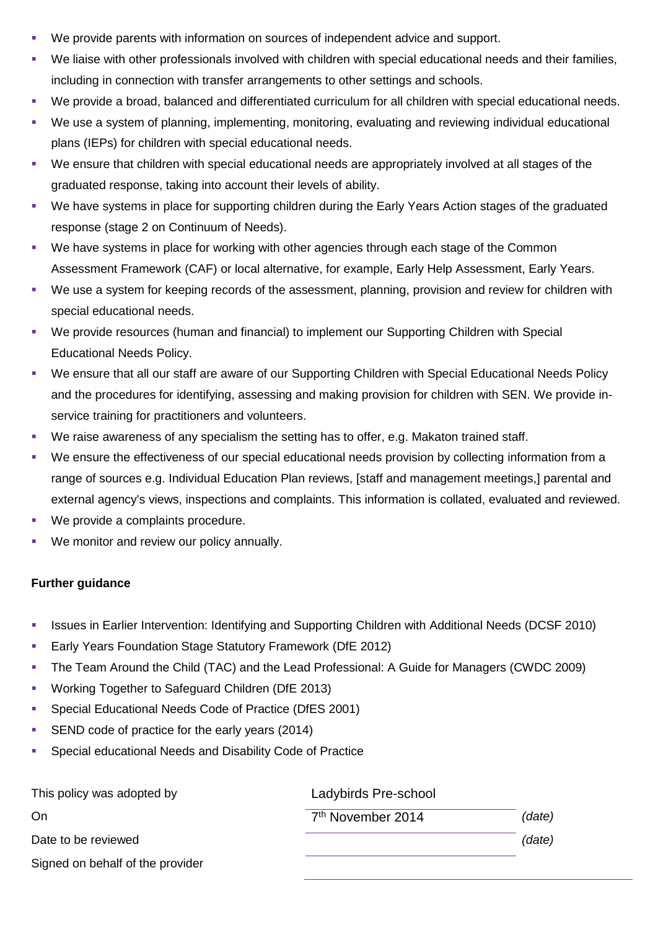- We provide parents with information on sources of independent advice and support.
- We liaise with other professionals involved with children with special educational needs and their families, including in connection with transfer arrangements to other settings and schools.
- We provide a broad, balanced and differentiated curriculum for all children with special educational needs.
- We use a system of planning, implementing, monitoring, evaluating and reviewing individual educational plans (IEPs) for children with special educational needs.
- We ensure that children with special educational needs are appropriately involved at all stages of the graduated response, taking into account their levels of ability.
- We have systems in place for supporting children during the Early Years Action stages of the graduated response (stage 2 on Continuum of Needs).
- We have systems in place for working with other agencies through each stage of the Common Assessment Framework (CAF) or local alternative, for example, Early Help Assessment, Early Years.
- We use a system for keeping records of the assessment, planning, provision and review for children with special educational needs.
- We provide resources (human and financial) to implement our Supporting Children with Special Educational Needs Policy.
- We ensure that all our staff are aware of our Supporting Children with Special Educational Needs Policy and the procedures for identifying, assessing and making provision for children with SEN. We provide inservice training for practitioners and volunteers.
- We raise awareness of any specialism the setting has to offer, e.g. Makaton trained staff.
- We ensure the effectiveness of our special educational needs provision by collecting information from a range of sources e.g. Individual Education Plan reviews, [staff and management meetings,] parental and external agency's views, inspections and complaints. This information is collated, evaluated and reviewed.
- We provide a complaints procedure.
- We monitor and review our policy annually.

### **Further guidance**

- **In Itsues in Earlier Intervention: Identifying and Supporting Children with Additional Needs (DCSF 2010)**
- **Early Years Foundation Stage Statutory Framework (DfE 2012)**
- The Team Around the Child (TAC) and the Lead Professional: A Guide for Managers (CWDC 2009)
- **Working Together to Safeguard Children (DfE 2013)**
- **Special Educational Needs Code of Practice (DfES 2001)**
- SEND code of practice for the early years (2014)
- Special educational Needs and Disability Code of Practice

| This policy was adopted by       | Ladybirds Pre-school          |        |
|----------------------------------|-------------------------------|--------|
| . On                             | 7 <sup>th</sup> November 2014 | (date) |
| Date to be reviewed              |                               | (date) |
| Signed on behalf of the provider |                               |        |